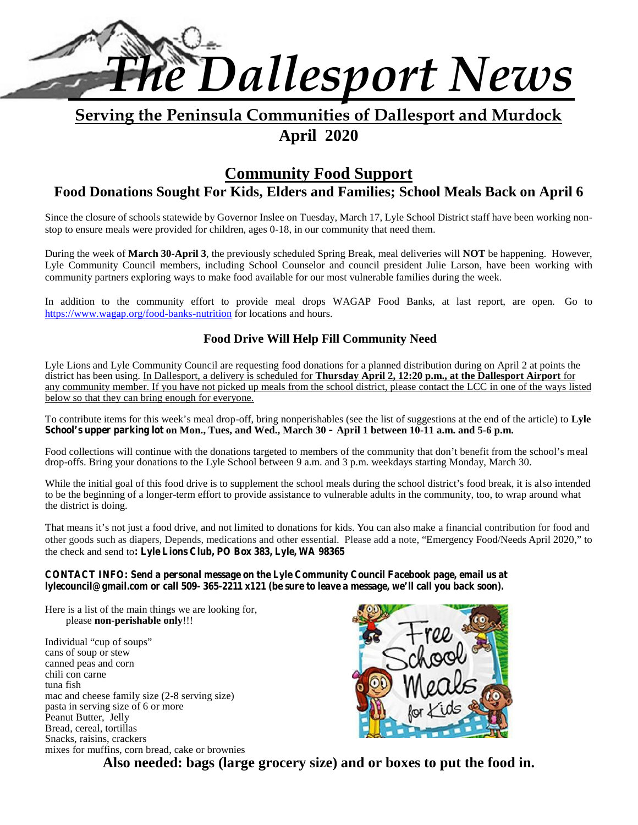

# **Serving the Peninsula Communities of Dallesport and Murdock April 2020**

## **Community Food Support Food Donations Sought For Kids, Elders and Families; School Meals Back on April 6**

Since the closure of schools statewide by Governor Inslee on Tuesday, March 17, Lyle School District staff have been working non stop to ensure meals were provided for children, ages 0-18, in our community that need them.

During the week of **March 30-April 3**, the previously scheduled Spring Break, meal deliveries will **NOT** be happening. However, Lyle Community Council members, including School Counselor and council president Julie Larson, have been working with community partners exploring ways to make food available for our most vulnerable families during the week.

In addition to the community effort to provide meal drops WAGAP Food Banks, at last report, are open. Go to https://www.wagap.org/food-banks-nutrition for locations and hours.

#### **Food Drive Will Help Fill Community Need**

Lyle Lions and Lyle Community Council are requesting food donations for a planned distribution during on April 2 at points the district has been using. In Dallesport, a delivery is scheduled for **Thursday April 2, 12:20 p.m., at the Dallesport Airport** for any community member. If you have not picked up meals from the school district, please contact the LCC in one of the ways listed below so that they can bring enough for everyone.

To contribute items for this week's meal drop-off, bring nonperishables (see the list of suggestions at the end of the article) to **Lyle School's upper parking lot on Mon., Tues, and Wed., March 30 – April 1 between 10-11 a.m. and 5-6 p.m.**

Food collections will continue with the donations targeted to members of the community that don't benefit from the school's meal drop-offs. Bring your donations to the Lyle School between 9 a.m. and 3 p.m. weekdays starting Monday, March 30.

While the initial goal of this food drive is to supplement the school meals during the school district's food break, it is also intended to be the beginning of a longer-term effort to provide assistance to vulnerable adults in the community, too, to wrap around what the district is doing.

That means it's not just a food drive, and not limited to donations for kids. You can also make a financial contribution for food and other goods such as diapers, Depends, medications and other essential. Please add a note, "Emergency Food/Needs April 2020," to the check and send to**: Lyle Lions Club, PO Box 383, Lyle, WA 98365**

#### **CONTACT INFO: Send a personal message on the Lyle Community Council Facebook page, email us at lylecouncil@gmail.com or call 509- 365-2211 x121 (be sure to leave a message, we'll call you back soon).**

Here is a list of the main things we are looking for, please **non-perishable only**!!!

Individual "cup of soups" cans of soup or stew canned peas and corn chili con carne tuna fish mac and cheese family size (2-8 serving size) pasta in serving size of 6 or more Peanut Butter, Jelly Bread, cereal, tortillas Snacks, raisins, crackers mixes for muffins, corn bread, cake or brownies



**Also needed: bags (large grocery size) and or boxes to put the food in.**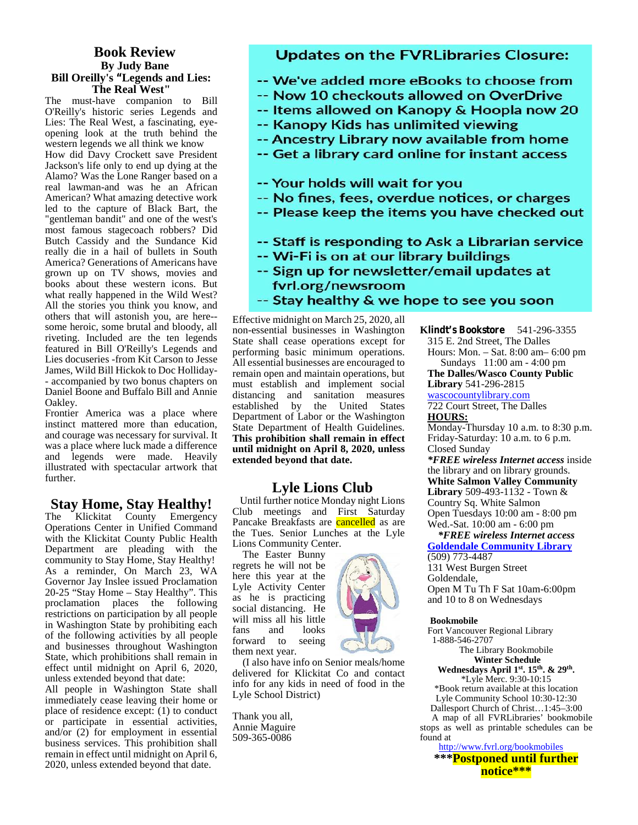#### **Book Review By Judy Bane Bill Oreilly's "Legends and Lies: The Real West"**

The must-have companion to Bill O'Reilly's historic series Legends and Lies: The Real West, a fascinating, eye opening look at the truth behind the opening look at the truth bening the term of the **Ancestry Library now available from home**<br>Western legends we all think we know<br>How did Davy Crockett save President **1996 - Get a library card online for instant access** How did Davy Crockett save President Jackson's life only to end up dying at the Alamo? Was the Lone Ranger based on a Alamo: was the Lone Ranger based on a<br>
real lawman-and was he an African<br>
American? What amazing detective work **-- No fines, fees, overdue notices, or charges** American? What amazing detective work led to the capture of Black Bart, the "gentleman bandit" and one of the west's most famous stagecoach robbers? Did<br>Butch Cassidy and the Sundance Kid **1996 -- Staff is responding to Ask a Librarian service** Butch Cassidy and the Sundance Kid really die in a hail of bullets in South America? Generations of Americans have grown up on TV shows, movies and books about these western icons. But what really happened in the Wild West? others that will astonish you, are here- some heroic, some brutal and bloody, all riveting. Included are the ten legends featured in Bill O'Reilly's Legends and Lies docuseries -from Kit Carson to Jesse James, Wild Bill Hickok to Doc Holliday- - accompanied by two bonus chapters on Daniel Boone and Buffalo Bill and Annie Oakley.

Frontier America was a place where instinct mattered more than education, and courage was necessary for survival. It was a place where luck made a difference and legends were made. Heavily illustrated with spectacular artwork that further.

#### **Stay Home, Stay Healthy!**

The Klickitat County Emergency Operations Center in Unified Command with the Klickitat County Public Health Department are pleading with the community to Stay Home, Stay Healthy! As a reminder, On March 23, WA Governor Jay Inslee issued Proclamation 20-25 "Stay Home – Stay Healthy". This proclamation places the following restrictions on participation by all people in Washington State by prohibiting each  $\frac{w_{11}}{fans}$ of the following activities by all people and businesses throughout Washington State, which prohibitions shall remain in effect until midnight on April 6, 2020, unless extended beyond that date:

All people in Washington State shall immediately cease leaving their home or place of residence except: (1) to conduct or participate in essential activities, and/or (2) for employment in essential business services. This prohibition shall remain in effect until midnight on April 6, 2020, unless extended beyond that date.

#### **Updates on the FVRLibraries Closure:**

- -- We've added more eBooks to choose from
- -- Now 10 checkouts allowed on OverDrive
- -- Items allowed on Kanopy & Hoopla now 20
- -- Kanopy Kids has unlimited viewing
- 
- 
- 
- 
- -- Please keep the items you have checked out
- 
- -- Wi-Fi is on at our library buildings
- -- Sign up for newsletter/email updates at fvrl.org/newsroom
- What really happened in the Wild West!<br>All the stories you think you know, and  $\overline{\phantom{a}}$  -- Stay healthy & we hope to see you soon

Effective midnight on March 25, 2020, all non-essential businesses in Washington State shall cease operations except for performing basic minimum operations. All essential businesses are encouraged to remain open and maintain operations, but must establish and implement social distancing and sanitation measures w established by the United States 72 Department of Labor or the Washington State Department of Health Guidelines. **This prohibition shall remain in effect until midnight on April 8, 2020, unless extended beyond that date.**

#### **Lyle Lions Club**

Until further notice Monday night Lions Club meetings and First Saturday Pancake Breakfasts are **cancelled** as are the Tues. Senior Lunches at the Lyle Lions Community Center.

The Easter Bunny regrets he will not be here this year at the Lyle Activity Center as he is practicing social distancing. He will miss all his little<br>fans and looks looks forward to seeing them next year.

(I also have info on Senior meals/home delivered for Klickitat Co and contact info for any kids in need of food in the Lyle School District)

Thank you all, Annie Maguire 509-365-0086

**Klindt's Bookstore** 541-296-3355 315 E. 2nd Street, The Dalles Hours: Mon. – Sat.8:00 am– 6:00 pm Sundays 11:00 am - 4:00 pm

**The Dalles/Wasco County Public Library** 541-296-2815 wascocountylibrary.com

722 Court Street, The Dalles **HOURS:**

Monday-Thursday 10 a.m. to 8:30 p.m. Friday-Saturday: 10 a.m. to 6 p.m. Closed Sunday

*\*FREE wireless Internet access* inside the library and on library grounds. **White Salmon Valley Community Library** 509-493-1132 - Town & Country Sq. White Salmon Open Tuesdays 10:00 am - 8:00 pm Wed.-Sat. 10:00 am - 6:00 pm

*\*FREE wireless Internet access* **Goldendale Community Library** (509) 773-4487

131 West Burgen Street Goldendale, Open M Tu Th F Sat 10am-6:00pm and 10 to 8 on Wednesdays

#### **Bookmobile**

Fort Vancouver Regional Library 1-888-546-2707

The Library Bookmobile **Winter Schedule Wednesdays April 1st. 15th. & 29th .**

\*Lyle Merc. 9:30-10:15 \*Book return available at this location Lyle Community School 10:30-12:30 Dallesport Church of Christ…1:45–3:00 A map of all FVRLibraries' bookmobile stops as well as printable schedules can be found at

http://www.fvrl.org/bookmobiles **\*\*\*Postponed until further notice\*\*\***

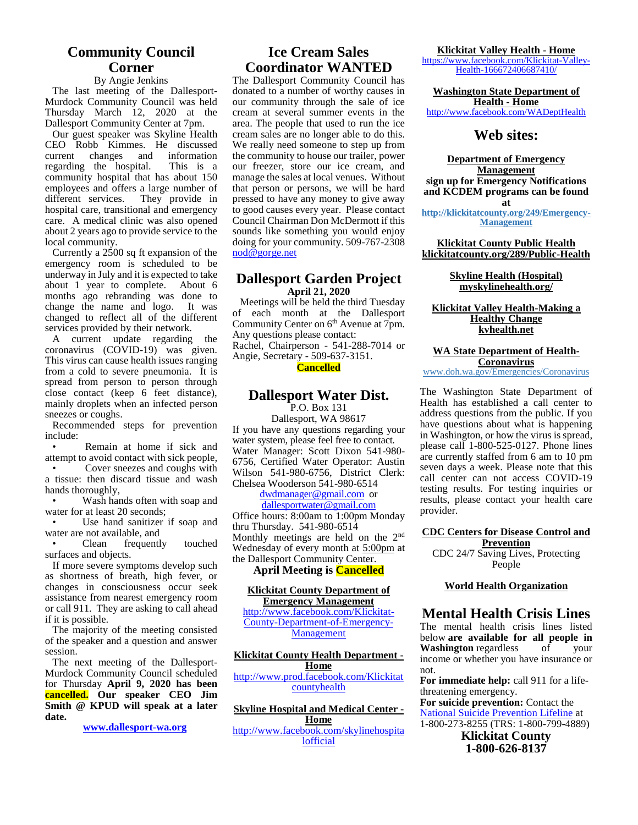#### **Community Council Corner**

#### By Angie Jenkins

The last meeting of the Dallesport- Murdock Community Council was held Thursday March 12, 2020 at the Dallesport Community Center at 7pm.

Our guest speaker was Skyline Health CEO Robb Kimmes. He discussed current changes and information<br>regarding the hospital. This is a regarding the hospital. community hospital that has about 150 employees and offers a large number of<br>different services. They provide in They provide in hospital care, transitional and emergency care. A medical clinic was also opened about 2 years ago to provide service to the local community.

Currently a 2500 sq ft expansion of the emergency room is scheduled to be underway in July and it is expected to take about 1 year to complete. About 6 months ago rebranding was done to change the name and logo. It was changed to reflect all of the different services provided by their network.

A current update regarding the coronavirus (COVID-19) was given. This virus can cause health issues ranging from a cold to severe pneumonia. It is spread from person to person through close contact (keep 6 feet distance), mainly droplets when an infected person sneezes or coughs.

Recommended steps for prevention include:

• Remain at home if sick and attempt to avoid contact with sick people,

• Cover sneezes and coughs with a tissue: then discard tissue and wash hands thoroughly,

Wash hands often with soap and water for at least 20 seconds;

• Use hand sanitizer if soap and water are not available, and

• Clean frequently touched surfaces and objects.

If more severe symptoms develop such as shortness of breath, high fever, or changes in consciousness occur seek assistance from nearest emergency room or call 911. They are asking to call ahead if it is possible.

The majority of the meeting consisted of the speaker and a question and answer session.

The next meeting of the Dallesport- Murdock Community Council scheduled for Thursday **April 9, 2020 has been cancelled. Our speaker CEO Jim Smith @ KPUD will speak at a later date.**

**www.dallesport-wa.org**

#### **Ice Cream Sales Coordinator WANTED**

The Dallesport Community Council has donated to a number of worthy causes in our community through the sale of ice cream at several summer events in the area. The people that used to run the ice cream sales are no longer able to do this. We really need someone to step up from the community to house our trailer, power our freezer, store our ice cream, and manage the sales at local venues. Without that person or persons, we will be hard pressed to have any money to give away to good causes every year. Please contact Council Chairman Don McDermott if this sounds like something you would enjoy doing for your community. 509-767-2308 nod@gorge.net

#### **Dallesport Garden Project April 21, 2020**

Meetings will be held the third Tuesday of each month at the Dallesport Community Center on  $6<sup>th</sup>$  Avenue at 7pm. Any questions please contact: Rachel, Chairperson - 541-288-7014 or Angie, Secretary - 509-637-3151. **Cancelled**

#### **Dallesport Water Dist.** P.O. Box 131

Dallesport, WA 98617 If you have any questions regarding your water system, please feel free to contact. Water Manager: Scott Dixon 541-980- 6756, Certified Water Operator: Austin Wilson 541-980-6756, District Clerk:  $\frac{80}{30}$ Chelsea Wooderson 541-980-6514

dwdmanager@gmail.com or

dallesportwater@gmail.com Office hours: 8:00am to 1:00pm Monday thru Thursday. 541-980-6514 Monthly meetings are held on the 2nd Wednesday of every month at 5:00pm at the Dallesport Community Center.

#### **April Meeting is Cancelled**

#### **Klickitat County Department of Emergency Management**

http://www.facebook.com/Klickitat- County-Department-of-Emergency- Management

#### **Klickitat County Health Department -**

**Home** http://www.prod.facebook.com/Klickitat countyhealth

**Skyline Hospital and Medical Center - Home** http://www.facebook.com/skylinehospita lofficial

**Klickitat Valley Health - Home** https://www.facebook.com/Klickitat-Valley-

Health-166672406687410/

**Washington State Department of Health - Home**

http://www.facebook.com/WADeptHealth

#### **Web sites:**

**Department of Emergency Management sign up for Emergency Notifications and KCDEM programs can be found at**

**http://klickitatcounty.org/249/Emergency- Management**

**Klickitat County Public Health klickitatcounty.org/289/Public-Health**

> **Skyline Health (Hospital) myskylinehealth.org/**

#### **Klickitat Valley Health-Making a Healthy Change kvhealth.net**

**WA State Department of Health- Coronavirus**

www.doh.wa.gov/Emergencies/Coronavirus

The Washington State Department of Health has established a call center to address questions from the public. If you have questions about what is happening in Washington, or how the virus is spread, please call 1-800-525-0127. Phone lines are currently staffed from 6 am to 10 pm seven days a week. Please note that this call center can not access COVID-19 testing results. For testing inquiries or results, please contact your health care provider.

#### **CDC Centers for Disease Control and Prevention**

CDC 24/7 Saving Lives, Protecting People

#### **World Health Organization**

#### **Mental Health Crisis Lines**

The mental health crisis lines listed below **are available for all people in Washington** regardless of your income or whether you have insurance or not.

**For immediate help:** call 911 for a lifethreatening emergency.

**For suicide prevention:** Contact the National Suicide Prevention Lifeline at 1-800-273-8255 (TRS: 1-800-799-4889)

**Klickitat County 1-800-626-8137**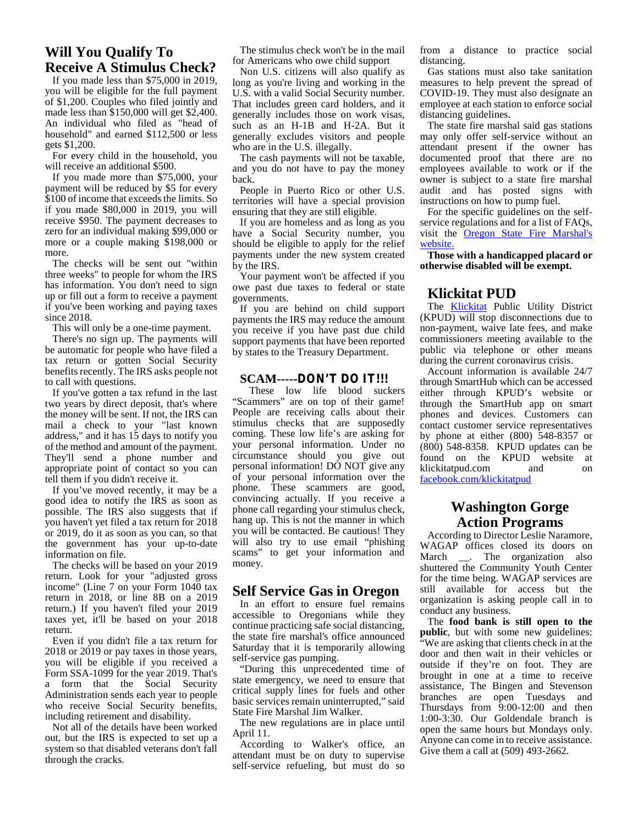#### **Will You Qualify To Receive A Stimulus Check?**

If you made less than \$75,000 in 2019, you will be eligible for the full payment of \$1,200. Couples who filed jointly and made less than \$150,000 will get \$2,400. An individual who filed as "head of household" and earned \$112,500 or less gets \$1,200.

For every child in the household, you will receive an additional \$500.

If you made more than \$75,000, your payment will be reduced by \$5 for every \$100 of income that exceeds the limits. So if you made \$80,000 in 2019, you will receive \$950. The payment decreases to zero for an individual making \$99,000 or more or a couple making \$198,000 or more.

The checks will be sent out "within three weeks" to people for whom the IRS has information. You don't need to sign up or fill out a form to receive a payment if you've been working and paying taxes since 2018.

This will only be a one-time payment.

There's no sign up. The payments will be automatic for people who have filed a tax return or gotten Social Security benefits recently. The IRS asks people not to call with questions.

If you've gotten a tax refund in the last two years by direct deposit, that's where the money will be sent. If not, the IRS can mail a check to your "last known address," and it has 15 days to notify you of the method and amount of the payment. They'll send a phone number and appropriate point of contact so you can tell them if you didn't receive it.

If you've moved recently, it may be a good idea to notify the IRS as soon as possible. The IRS also suggests that if you haven't yet filed a tax return for 2018 or 2019, do it as soon as you can, so that the government has your up-to-date information on file.

The checks will be based on your 2019 return. Look for your "adjusted gross income" (Line 7 on your Form 1040 tax return in 2018, or line 8B on a 2019 return.) If you haven't filed your 2019 taxes yet, it'll be based on your 2018 return.

Even if you didn't file a tax return for 2018 or 2019 or pay taxes in those years, you will be eligible if you received a Form SSA-1099 for the year 2019. That's a form that the Social Security Administration sends each year to people who receive Social Security benefits, including retirement and disability.

Not all of the details have been worked out, but the IRS is expected to set up a system so that disabled veterans don't fall through the cracks.

The stimulus check won't be in the mail for Americans who owe child support

Non U.S. citizens will also qualify as long as you're living and working in the U.S. with a valid Social Security number. That includes green card holders, and it generally includes those on work visas, such as an H-1B and H-2A. But it generally excludes visitors and people who are in the U.S. illegally.

The cash payments will not be taxable, and you do not have to pay the money back.

People in Puerto Rico or other U.S. territories will have a special provision ensuring that they are still eligible.

If you are homeless and as long as you have a Social Security number, you should be eligible to apply for the relief payments under the new system created by the IRS.

Your payment won't be affected if you owe past due taxes to federal or state governments.

If you are behind on child support payments the IRS may reduce the amount you receive if you have past due child support payments that have been reported by states to the Treasury Department.

#### **SCAM-----DON'T DO IT!!!**

These low life blood suckers "Scammers" are on top of their game! People are receiving calls about their stimulus checks that are supposedly coming. These low life's are asking for your personal information. Under no circumstance should you give out personal information! DO NOT give any of your personal information over the phone. These scammers are good, convincing actually. If you receive a phone call regarding your stimulus check, hang up. This is not the manner in which you will be contacted. Be cautious! They will also try to use email "phishing" scams" to get your information and March money.

#### **Self Service Gas in Oregon**

In an effort to ensure fuel remains accessible to Oregonians while they continue practicing safe social distancing, the state fire marshal's office announced Saturday that it is temporarily allowing self-service gas pumping.

"During this unprecedented time of state emergency, we need to ensure that critical supply lines for fuels and other basic services remain uninterrupted," said State Fire Marshal Jim Walker.

The new regulations are in place until April 11.

According to Walker's office, an attendant must be on duty to supervise self-service refueling, but must do so from a distance to practice social distancing.

Gas stations must also take sanitation measures to help prevent the spread of COVID-19. They must also designate an employee at each station to enforce social distancing guidelines.

The state fire marshal said gas stations may only offer self-service without an attendant present if the owner has documented proof that there are no employees available to work or if the owner is subject to a state fire marshal audit and has posted signs with instructions on how to pump fuel.

For the specific guidelines on the self service regulations and for a list of FAQs, visit the Oregon State Fire Marshal's website.

**Those with a handicapped placard or otherwise disabled will be exempt.**

#### **Klickitat PUD**

The Klickitat Public Utility District (KPUD) will stop disconnections due to non-payment, waive late fees, and make commissioners meeting available to the public via telephone or other means during the current coronavirus crisis.

Account information is available 24/7 through SmartHub which can be accessed either through KPUD's website or through the SmartHub app on smart phones and devices. Customers can contact customer service representatives by phone at either (800) 548-8357 or (800) 548-8358. KPUD updates can be found on the KPUD website at klickitat pulled and on klickitatpud.com facebook.com/klickitatpud

#### **Washington Gorge Action Programs**

According to Director Leslie Naramore, WAGAP offices closed its doors on \_\_. The organization also shuttered the Community Youth Center for the time being. WAGAP services are still available for access but the organization is asking people call in to conduct any business.

The **food bank is still open to the public**, but with some new guidelines: "We are asking that clients check in at the door and then wait in their vehicles or outside if they're on foot. They are brought in one at a time to receive assistance, The Bingen and Stevenson branches are open Tuesdays and Thursdays from 9:00-12:00 and then 1:00-3:30. Our Goldendale branch is open the same hours but Mondays only. Anyone can come in to receive assistance. Give them a call at (509) 493-2662.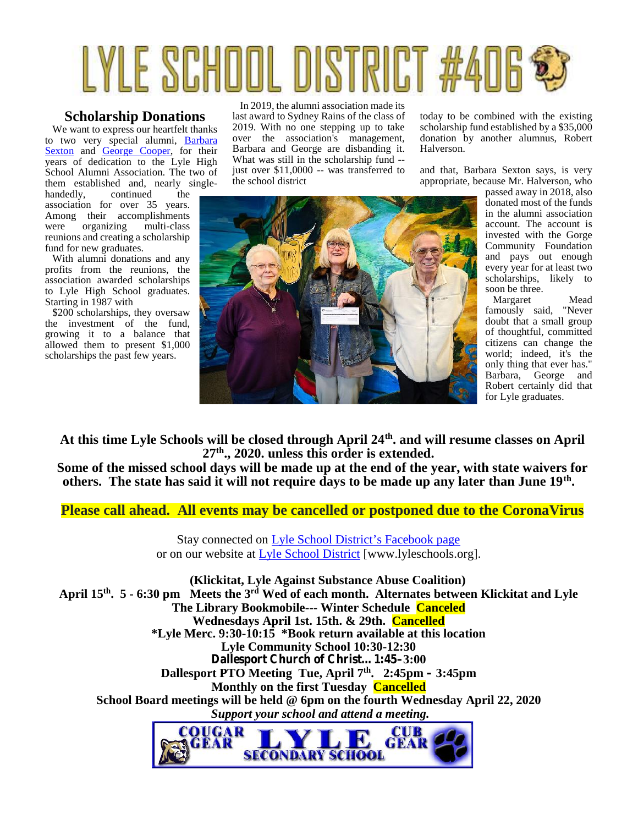# LYLE SCHOOL DISTRICT #

#### **Scholarship Donations**

We want to express our heartfelt thanks to two very special alumni, Barbara Sexton and George Cooper, for their years of dedication to the Lyle High School Alumni Association. The two of them established and, nearly single-

handedly, continued the association for over 35 years. Among their accomplishments<br>were organizing multi-class were organizing multi-class reunions and creating a scholarship fund for new graduates.

With alumni donations and any profits from the reunions, the association awarded scholarships to Lyle High School graduates. Starting in 1987 with

\$200 scholarships, they oversaw the investment of the fund, growing it to a balance that allowed them to present \$1,000 scholarships the past few years.

In 2019, the alumni association made its last award to Sydney Rains of the class of 2019. With no one stepping up to take over the association's management, Barbara and George are disbanding it. What was still in the scholarship fund - just over \$11,0000 -- was transferred to the school district

today to be combined with the existing scholarship fund established by a \$35,000 donation by another alumnus, Robert Halverson.

and that, Barbara Sexton says, is very appropriate, because Mr. Halverson, who



passed away in 2018, also donated most of the funds in the alumni association account. The account is invested with the Gorge Community Foundation and pays out enough every year for at least two scholarships, likely to soon be three.

Margaret Mead famously said, "Never doubt that a small group of thoughtful, committed citizens can change the world; indeed, it's the only thing that ever has." Barbara, George and Robert certainly did that for Lyle graduates.

**At this time Lyle Schools will be closed through April 24th. and will resume classes on April 27th., 2020. unless this order is extended.**

**Some of the missed school days will be made up at the end of the year, with state waivers for others. The state has said it will not require days to be made up any later than June 19th .**

**Please call ahead. All events may be cancelled or postponed due to the CoronaVirus**

Stay connected on Lyle School District's Facebook page or on our website at Lyle School District [www.lyleschools.org].

**(Klickitat, Lyle Against Substance Abuse Coalition) April 15 th. 5 - 6:30 pm Meets the 3rd Wed of each month. Alternates between Klickitat and Lyle The Library Bookmobile--- Winter Schedule Canceled Wednesdays April 1st. 15th. & 29th. Cancelled \*Lyle Merc. 9:30-10:15 \*Book return available at this location Lyle Community School 10:30-12:30 Dallesport Church of Christ…1:45–3:00 Dallesport PTO Meeting Tue, April 7th . 2:45pm – 3:45pm Monthly on the first Tuesday Cancelled School Board meetings will be held @ 6pm on the fourth Wednesday April 22, 2020** *Support your school and attend a meeting.*

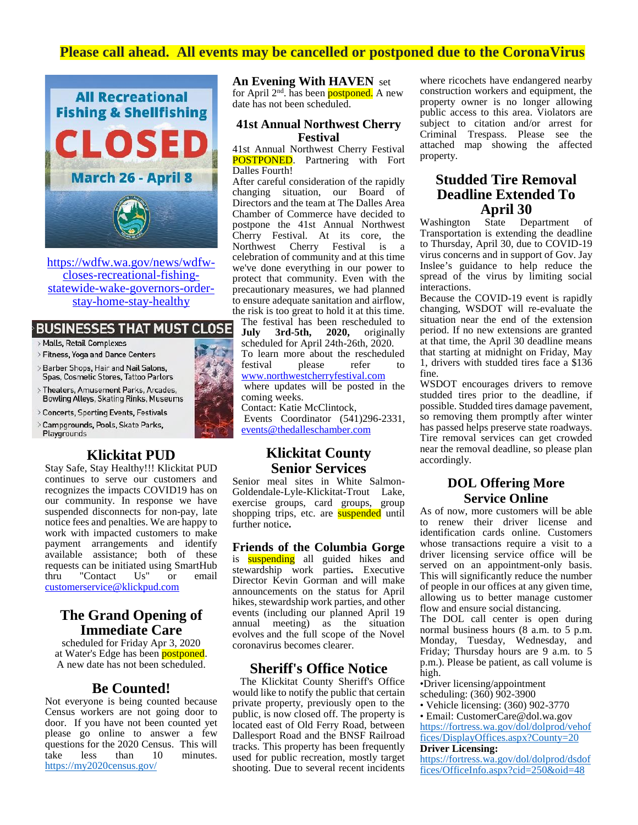#### **Please call ahead. All events may be cancelled or postponed due to the CoronaVirus**



https://wdfw.wa.gov/news/wdfw closes-recreational-fishing statewide-wake-governors-order stay-home-stay-healthy

#### **BUSINESSES THAT MUST CLOSE**

- > Malls, Retail Complexes
- > Fitness, Yoga and Dance Centers
- > Barber Shops, Hair and Nail Salons, Spas, Cosmetic Stores, Tattoo Parlors
- > Theaters, Amusement Parks, Arcades, Bowling Alleys, Skating Rinks, Museums
- > Concerts, Sporting Events, Festivals
- Campgrounds, Pools, Skate Parks, Playgrounds

#### **Klickitat PUD**

Stay Safe, Stay Healthy!!! Klickitat PUD continues to serve our customers and recognizes the impacts COVID19 has on our community. In response we have suspended disconnects for non-pay, late notice fees and penalties. We are happy to work with impacted customers to make payment arrangements and identify available assistance; both of these requests can be initiated using SmartHub<br>thru "Contact Us" or email thru "Contact Us" or email customerservice@klickpud.com

#### **The Grand Opening of Immediate Care**

scheduled for Friday Apr 3, 2020 at Water's Edge has been **postponed**. A new date has not been scheduled.

#### **Be Counted!**

Not everyone is being counted because Census workers are not going door to door. If you have not been counted yet please go online to answer a few questions for the 2020 Census. This will<br>take less than 10 minutes. take less than 10 minutes. https://my2020census.gov/

**An Evening With HAVEN** set

for April  $2<sup>nd</sup>$ . has been **postponed.** A new date has not been scheduled.

#### **41st Annual Northwest Cherry Festival**

41st Annual Northwest Cherry Festival **POSTPONED**. Partnering with Fort Dalles Fourth!

After careful consideration of the rapidly changing situation, our Board of Directors and the team at The Dalles Area Chamber of Commerce have decided to<br>
nostnone the 41st Annual Northwest Washington postpone the 41st Annual Northwest Cherry Festival. At its core, the Northwest Cherry Festival is a celebration of community and at this time we've done everything in our power to protect that community. Even with the precautionary measures, we had planned to ensure adequate sanitation and airflow, the risk is too great to hold it at this time.

The festival has been rescheduled to<br>July 3rd-5th, 2020, originally **July 3rd-5th, 2020,** originally scheduled for April 24th-26th, 2020. To learn more about the rescheduled festival please refer to www.northwestcherryfestival.com where updates will be posted in the

coming weeks.

Contact: Katie McClintock, Events Coordinator (541)296-2331, events@thedalleschamber.com

#### **Klickitat County Senior Services**

Senior meal sites in White Salmon- Goldendale-Lyle-Klickitat-Trout Lake, exercise groups, card groups, group shopping trips, etc. are **suspended** until further notice**.**

**Friends of the Columbia Gorge** is suspending all guided hikes and stewardship work parties**.** Executive Director Kevin Gorman and will make announcements on the status for April hikes, stewardship work parties, and other events (including our planned April 19 annual meeting) as the situation evolves and the full scope of the Novel coronavirus becomes clearer.

#### **Sheriff's Office Notice**

The Klickitat County Sheriff's Office would like to notify the public that certain private property, previously open to the public, is now closed off. The property is located east of Old Ferry Road, between Dallesport Road and the BNSF Railroad tracks. This property has been frequently used for public recreation, mostly target shooting. Due to several recent incidents where ricochets have endangered nearby construction workers and equipment, the property owner is no longer allowing public access to this area. Violators are subject to citation and/or arrest for Criminal Trespass. Please see the attached map showing the affected property.

# **Studded Tire Removal Deadline Extended To April 30**<br>State Det

Department of Transportation is extending the deadline to Thursday, April 30, due to COVID-19 virus concerns and in support of Gov. Jay Inslee's guidance to help reduce the spread of the virus by limiting social interactions.

Because the COVID-19 event is rapidly changing, WSDOT will re-evaluate the situation near the end of the extension period. If no new extensions are granted at that time, the April 30 deadline means that starting at midnight on Friday, May 1, drivers with studded tires face a \$136 fine.

WSDOT encourages drivers to remove studded tires prior to the deadline, if possible. Studded tires damage pavement, so removing them promptly after winter has passed helps preserve state roadways. Tire removal services can get crowded near the removal deadline, so please plan accordingly.

#### **DOL Offering More Service Online**

As of now, more customers will be able to renew their driver license and identification cards online. Customers whose transactions require a visit to a driver licensing service office will be served on an appointment-only basis. This will significantly reduce the number of people in our offices at any given time, allowing us to better manage customer flow and ensure social distancing.

The DOL call center is open during normal business hours (8 a.m. to 5 p.m. Monday, Tuesday, Wednesday, and Friday; Thursday hours are 9 a.m. to 5 p.m.). Please be patient, as call volume is high.

•Driver licensing/appointment scheduling:  $(360)$  902-3900

• Vehicle licensing: (360) 902-3770

• Email: CustomerCare@dol.wa.gov https://fortress.wa.gov/dol/dolprod/vehof fices/DisplayOffices.aspx?County=20

#### **Driver Licensing:**

https://fortress.wa.gov/dol/dolprod/dsdof fices/OfficeInfo.aspx?cid=250&oid=48

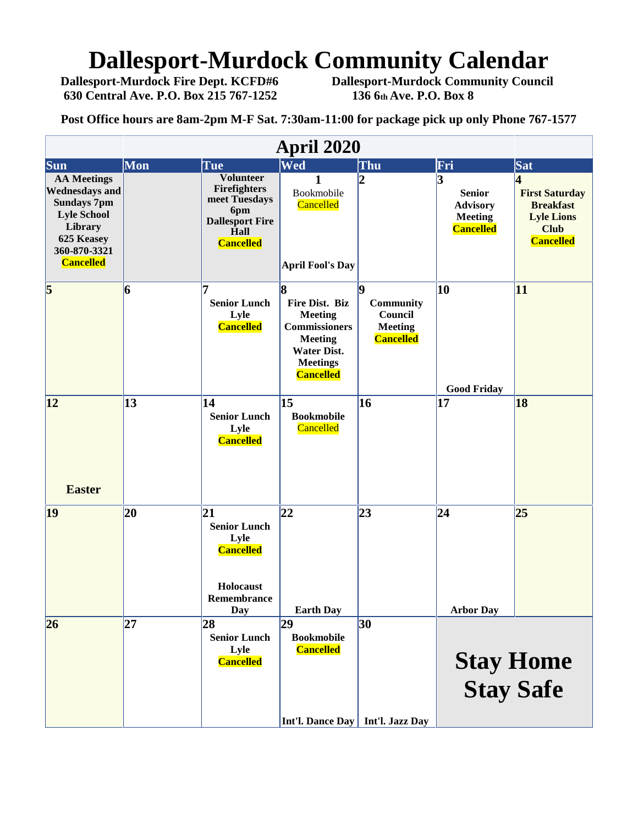# **Dallesport-Murdock Community Calendar**<br>Dallesport-Murdock Fire Dept. KCFD#6 Dallesport-Murdock Community Council

**630 Central Ave. P.O. Box 215 767-1252 136 6th Ave. P.O. Box 8**

**Dallesport-Murdock Community Council** 

**Post Office hours are 8am-2pm M-F Sat. 7:30am-11:00 for package pick up only Phone 767-1577**

| <b>April 2020</b>                                                                                                                                    |                                                              |                                                                                                                       |                                                                                                                                                     |                                                                   |                                                                             |                                                                                                        |
|------------------------------------------------------------------------------------------------------------------------------------------------------|--------------------------------------------------------------|-----------------------------------------------------------------------------------------------------------------------|-----------------------------------------------------------------------------------------------------------------------------------------------------|-------------------------------------------------------------------|-----------------------------------------------------------------------------|--------------------------------------------------------------------------------------------------------|
| <b>Sun</b>                                                                                                                                           | Mon                                                          | Tue                                                                                                                   | Wed                                                                                                                                                 | Thu                                                               | Fri                                                                         | Sat                                                                                                    |
| <b>AA</b> Meetings<br><b>Wednesdays and</b><br><b>Sundays 7pm</b><br><b>Lyle School</b><br>Library<br>625 Keasey<br>360-870-3321<br><b>Cancelled</b> |                                                              | <b>Volunteer</b><br><b>Firefighters</b><br>meet Tuesdays<br>6pm<br><b>Dallesport Fire</b><br>Hall<br><b>Cancelled</b> | 1<br>Bookmobile<br>Cancelled<br><b>April Fool's Day</b>                                                                                             | $\overline{2}$                                                    | 3<br><b>Senior</b><br><b>Advisory</b><br><b>Meeting</b><br><b>Cancelled</b> | 4<br><b>First Saturday</b><br><b>Breakfast</b><br><b>Lyle Lions</b><br><b>Club</b><br><b>Cancelled</b> |
| $\overline{\mathbf{5}}$                                                                                                                              | 6                                                            | <b>Senior Lunch</b><br>Lyle<br><b>Cancelled</b>                                                                       | <b>R</b><br>Fire Dist. Biz<br><b>Meeting</b><br><b>Commissioners</b><br><b>Meeting</b><br><b>Water Dist.</b><br><b>Meetings</b><br><b>Cancelled</b> | lQ.<br>Community<br>Council<br><b>Meeting</b><br><b>Cancelled</b> | 10<br><b>Good Friday</b>                                                    | 11                                                                                                     |
| 12 <br><b>Easter</b>                                                                                                                                 | 13                                                           | 14<br><b>Senior Lunch</b><br>Lyle<br><b>Cancelled</b>                                                                 | $\vert$ 15<br><b>Bookmobile</b><br>Cancelled                                                                                                        | 16                                                                | 17                                                                          | 18                                                                                                     |
| 19                                                                                                                                                   | 20                                                           | 21<br><b>Senior Lunch</b><br>Lyle<br><b>Cancelled</b><br>Holocaust<br>Remembrance<br>Day                              | 22<br><b>Earth Day</b>                                                                                                                              | 23                                                                | 24 <br><b>Arbor Day</b>                                                     | 25                                                                                                     |
| 26                                                                                                                                                   | 27 <br>28<br><b>Senior Lunch</b><br>Lyle<br><b>Cancelled</b> |                                                                                                                       | 29<br><b>Bookmobile</b><br><b>Cancelled</b>                                                                                                         | 30                                                                | <b>Stay Home</b><br><b>Stay Safe</b>                                        |                                                                                                        |
|                                                                                                                                                      |                                                              |                                                                                                                       | Int'l. Dance Day   Int'l. Jazz Day                                                                                                                  |                                                                   |                                                                             |                                                                                                        |